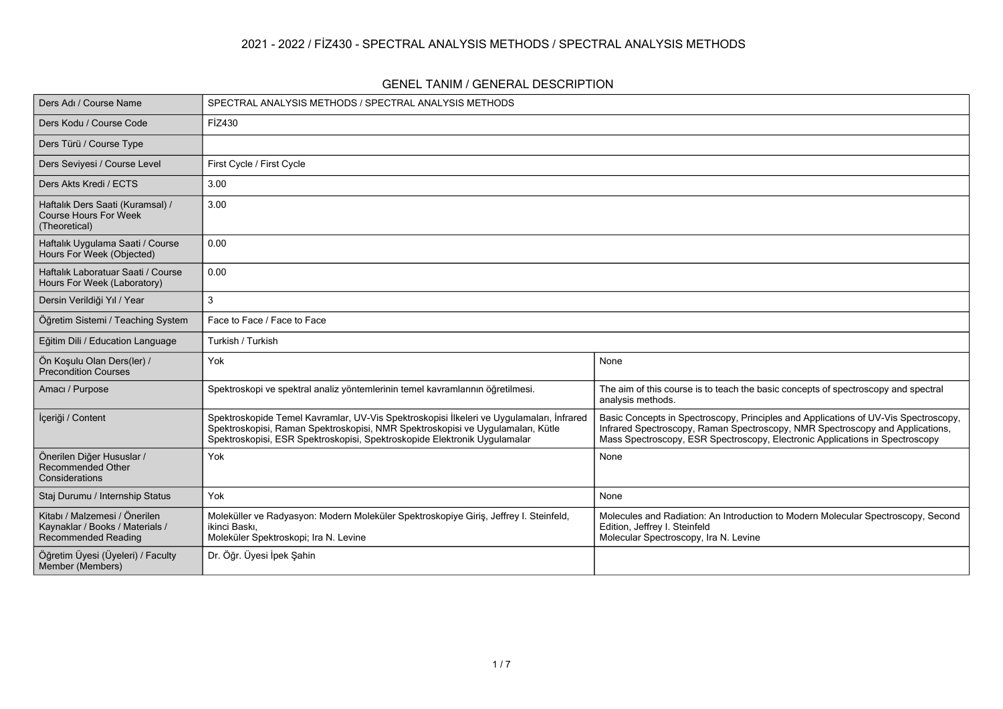### **2021 - 2022 / FİZ430 - SPECTRAL ANALYSIS METHODS / SPECTRAL ANALYSIS METHODS**

#### **GENEL TANIM / GENERAL DESCRIPTION**

| Ders Adı / Course Name                                                                         | SPECTRAL ANALYSIS METHODS / SPECTRAL ANALYSIS METHODS                                                                                                                                                                                                    |                                                                                                                                                                                                                                                      |
|------------------------------------------------------------------------------------------------|----------------------------------------------------------------------------------------------------------------------------------------------------------------------------------------------------------------------------------------------------------|------------------------------------------------------------------------------------------------------------------------------------------------------------------------------------------------------------------------------------------------------|
| Ders Kodu / Course Code                                                                        | FİZ430                                                                                                                                                                                                                                                   |                                                                                                                                                                                                                                                      |
| Ders Türü / Course Type                                                                        |                                                                                                                                                                                                                                                          |                                                                                                                                                                                                                                                      |
| Ders Seviyesi / Course Level                                                                   | First Cycle / First Cycle                                                                                                                                                                                                                                |                                                                                                                                                                                                                                                      |
| Ders Akts Kredi / ECTS                                                                         | 3.00                                                                                                                                                                                                                                                     |                                                                                                                                                                                                                                                      |
| Haftalık Ders Saati (Kuramsal) /<br><b>Course Hours For Week</b><br>(Theoretical)              | 3.00                                                                                                                                                                                                                                                     |                                                                                                                                                                                                                                                      |
| Haftalık Uygulama Saati / Course<br>Hours For Week (Objected)                                  | 0.00                                                                                                                                                                                                                                                     |                                                                                                                                                                                                                                                      |
| Haftalık Laboratuar Saati / Course<br>Hours For Week (Laboratory)                              | 0.00                                                                                                                                                                                                                                                     |                                                                                                                                                                                                                                                      |
| Dersin Verildiği Yıl / Year                                                                    | 3                                                                                                                                                                                                                                                        |                                                                                                                                                                                                                                                      |
| Öğretim Sistemi / Teaching System                                                              | Face to Face / Face to Face                                                                                                                                                                                                                              |                                                                                                                                                                                                                                                      |
| Eğitim Dili / Education Language                                                               | Turkish / Turkish                                                                                                                                                                                                                                        |                                                                                                                                                                                                                                                      |
| Ön Koşulu Olan Ders(ler) /<br><b>Precondition Courses</b>                                      | Yok                                                                                                                                                                                                                                                      | None                                                                                                                                                                                                                                                 |
| Amacı / Purpose                                                                                | Spektroskopi ve spektral analiz yöntemlerinin temel kavramlarının öğretilmesi.                                                                                                                                                                           | The aim of this course is to teach the basic concepts of spectroscopy and spectral<br>analysis methods.                                                                                                                                              |
| İçeriği / Content                                                                              | Spektroskopide Temel Kavramlar, UV-Vis Spektroskopisi İlkeleri ve Uygulamaları, İnfrared<br>Spektroskopisi, Raman Spektroskopisi, NMR Spektroskopisi ve Uygulamaları, Kütle<br>Spektroskopisi, ESR Spektroskopisi, Spektroskopide Elektronik Uygulamalar | Basic Concepts in Spectroscopy, Principles and Applications of UV-Vis Spectroscopy,<br>Infrared Spectroscopy, Raman Spectroscopy, NMR Spectroscopy and Applications,<br>Mass Spectroscopy, ESR Spectroscopy, Electronic Applications in Spectroscopy |
| Önerilen Diğer Hususlar /<br>Recommended Other<br>Considerations                               | Yok                                                                                                                                                                                                                                                      | None                                                                                                                                                                                                                                                 |
| Staj Durumu / Internship Status                                                                | Yok                                                                                                                                                                                                                                                      | None                                                                                                                                                                                                                                                 |
| Kitabı / Malzemesi / Önerilen<br>Kaynaklar / Books / Materials /<br><b>Recommended Reading</b> | Moleküller ve Radyasyon: Modern Moleküler Spektroskopiye Giriş, Jeffrey I. Steinfeld,<br>ikinci Baskı.<br>Moleküler Spektroskopi; Ira N. Levine                                                                                                          | Molecules and Radiation: An Introduction to Modern Molecular Spectroscopy, Second<br>Edition, Jeffrey I. Steinfeld<br>Molecular Spectroscopy, Ira N. Levine                                                                                          |
| Öğretim Üyesi (Üyeleri) / Faculty<br>Member (Members)                                          | Dr. Öğr. Üyesi İpek Şahin                                                                                                                                                                                                                                |                                                                                                                                                                                                                                                      |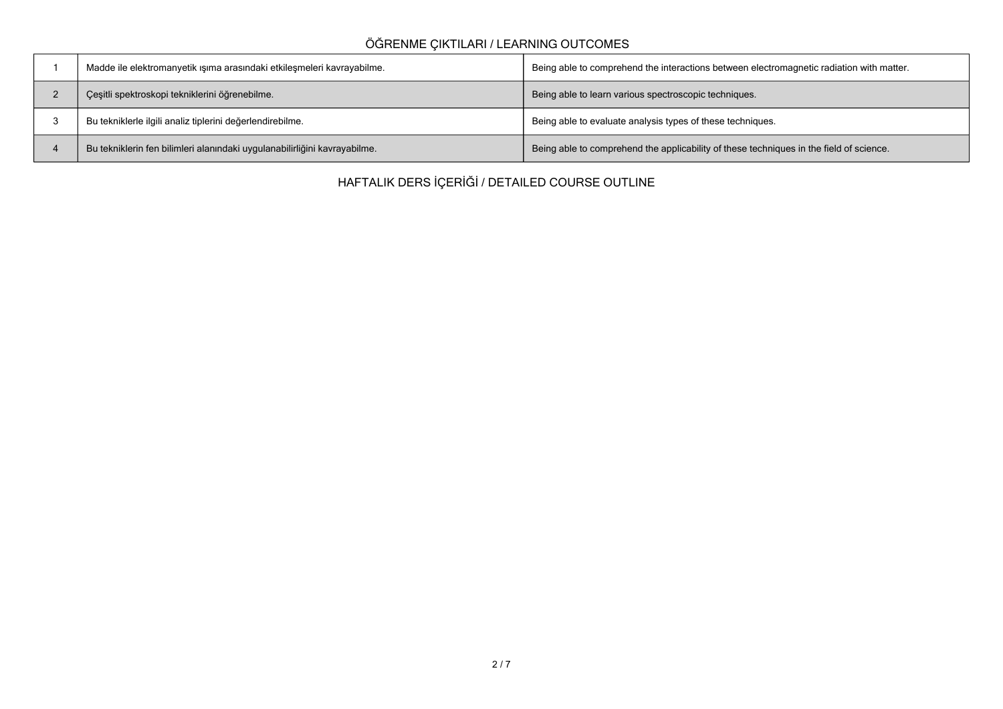# **ÖĞRENME ÇIKTILARI / LEARNING OUTCOMES**

| Madde ile elektromanyetik ışıma arasındaki etkileşmeleri kavrayabilme.    | Being able to comprehend the interactions between electromagnetic radiation with matter. |
|---------------------------------------------------------------------------|------------------------------------------------------------------------------------------|
| Çeşitli spektroskopi tekniklerini öğrenebilme.                            | Being able to learn various spectroscopic techniques.                                    |
| Bu tekniklerle ilgili analiz tiplerini değerlendirebilme.                 | Being able to evaluate analysis types of these techniques.                               |
| Bu tekniklerin fen bilimleri alanındaki uygulanabilirliğini kavrayabilme. | Being able to comprehend the applicability of these techniques in the field of science.  |

**HAFTALIK DERS İÇERİĞİ / DETAILED COURSE OUTLINE**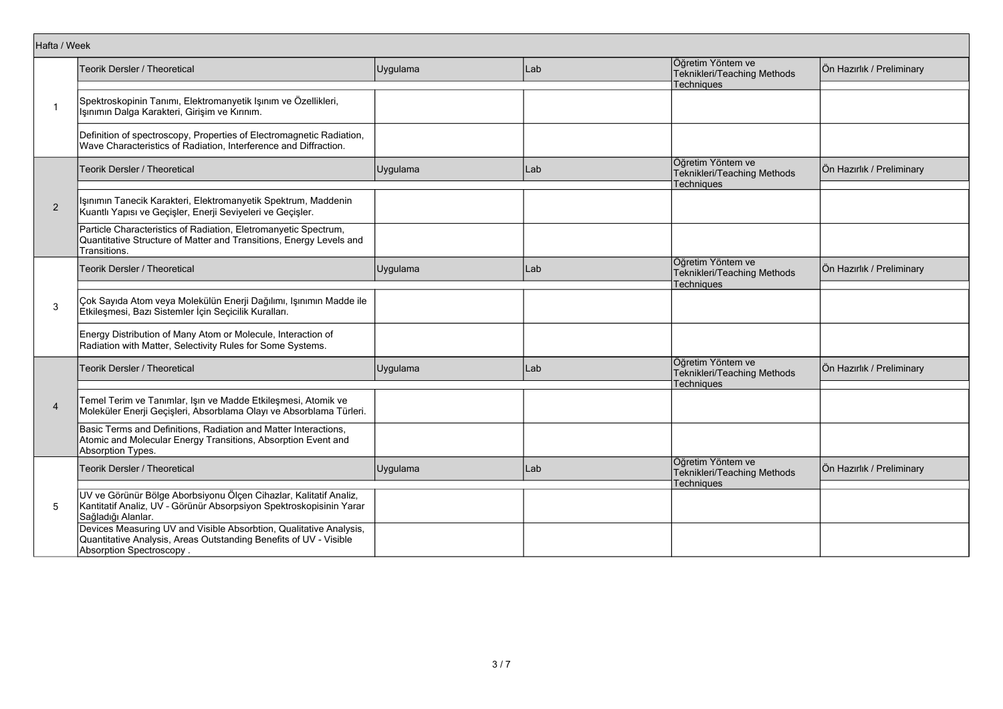| Hafta / Week             |                                                                                                                                                                     |          |      |                                                                       |                           |
|--------------------------|---------------------------------------------------------------------------------------------------------------------------------------------------------------------|----------|------|-----------------------------------------------------------------------|---------------------------|
|                          | Teorik Dersler / Theoretical                                                                                                                                        | Uygulama | lLab | Öğretim Yöntem ve<br>Teknikleri/Teaching Methods                      | Ön Hazırlık / Preliminary |
|                          |                                                                                                                                                                     |          |      | <b>Techniques</b>                                                     |                           |
| $\mathbf{1}$             | Spektroskopinin Tanımı, Elektromanyetik Işınım ve Özellikleri,<br>Işınımın Dalga Karakteri, Girişim ve Kırınım.                                                     |          |      |                                                                       |                           |
|                          | Definition of spectroscopy, Properties of Electromagnetic Radiation,<br>Wave Characteristics of Radiation, Interference and Diffraction.                            |          |      |                                                                       |                           |
|                          | Teorik Dersler / Theoretical                                                                                                                                        | Uygulama | Lab  | Öğretim Yöntem ve<br>Teknikleri/Teaching Methods<br>Techniques        | Ön Hazırlık / Preliminary |
| $\overline{2}$           | Işınımın Tanecik Karakteri, Elektromanyetik Spektrum, Maddenin<br>Kuantlı Yapısı ve Geçişler, Enerji Seviyeleri ve Geçişler.                                        |          |      |                                                                       |                           |
|                          | Particle Characteristics of Radiation, Eletromanyetic Spectrum,<br>Quantitative Structure of Matter and Transitions, Energy Levels and<br>Transitions.              |          |      |                                                                       |                           |
|                          | Teorik Dersler / Theoretical                                                                                                                                        | Uygulama | Lab  | Öğretim Yöntem ve<br>Teknikleri/Teaching Methods<br>Techniques        | Ön Hazırlık / Preliminary |
| 3                        | Çok Sayıda Atom veya Molekülün Enerji Dağılımı, Işınımın Madde ile<br>Etkileşmesi, Bazı Sistemler İçin Seçicilik Kuralları.                                         |          |      |                                                                       |                           |
|                          | Energy Distribution of Many Atom or Molecule, Interaction of<br>Radiation with Matter, Selectivity Rules for Some Systems.                                          |          |      |                                                                       |                           |
|                          | Teorik Dersler / Theoretical                                                                                                                                        | Uygulama | Lab  | Öğretim Yöntem ve<br>Teknikleri/Teaching Methods<br><b>Techniques</b> | Ön Hazırlık / Preliminary |
| $\overline{\mathcal{A}}$ | Temel Terim ve Tanımlar, Işın ve Madde Etkileşmesi, Atomik ve<br>Moleküler Enerji Geçişleri, Absorblama Olayı ve Absorblama Türleri.                                |          |      |                                                                       |                           |
|                          | Basic Terms and Definitions, Radiation and Matter Interactions,<br>Atomic and Molecular Energy Transitions, Absorption Event and<br>Absorption Types.               |          |      |                                                                       |                           |
|                          | Teorik Dersler / Theoretical                                                                                                                                        | Uygulama | Lab  | Öğretim Yöntem ve<br>Teknikleri/Teaching Methods<br>Techniques        | Ön Hazırlık / Preliminary |
| 5                        | UV ve Görünür Bölge Aborbsiyonu Ölçen Cihazlar, Kalitatif Analiz,<br>Kantitatif Analiz, UV - Görünür Absorpsiyon Spektroskopisinin Yarar<br>Sağladığı Alanlar.      |          |      |                                                                       |                           |
|                          | Devices Measuring UV and Visible Absorbtion, Qualitative Analysis,<br>Quantitative Analysis, Areas Outstanding Benefits of UV - Visible<br>Absorption Spectroscopy. |          |      |                                                                       |                           |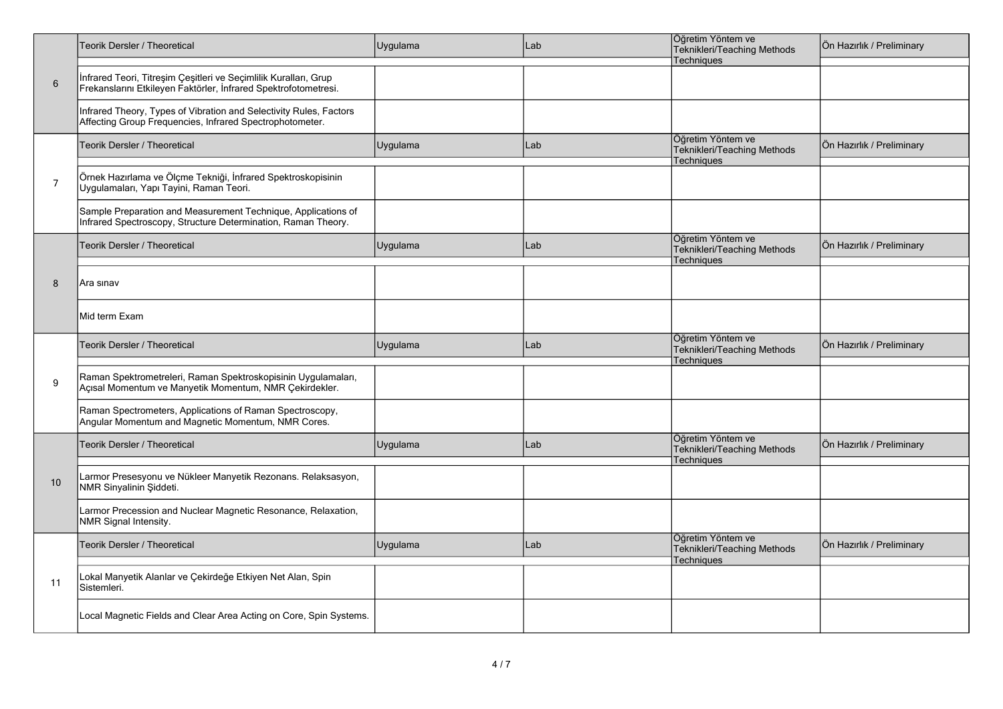|                | Teorik Dersler / Theoretical                                                                                                        | Uygulama | Lab | Öğretim Yöntem ve<br>Teknikleri/Teaching Methods<br><b>Techniques</b> | Ön Hazırlık / Preliminary |
|----------------|-------------------------------------------------------------------------------------------------------------------------------------|----------|-----|-----------------------------------------------------------------------|---------------------------|
| $\,6\,$        | İnfrared Teori, Titreşim Çeşitleri ve Seçimlilik Kuralları, Grup<br>Frekanslarını Etkileyen Faktörler, İnfrared Spektrofotometresi. |          |     |                                                                       |                           |
|                | Infrared Theory, Types of Vibration and Selectivity Rules, Factors<br>Affecting Group Frequencies, Infrared Spectrophotometer.      |          |     |                                                                       |                           |
|                | Teorik Dersler / Theoretical                                                                                                        | Uygulama | Lab | Öğretim Yöntem ve<br>Teknikleri/Teaching Methods<br>Techniques        | Ön Hazırlık / Preliminary |
| $\overline{7}$ | Örnek Hazırlama ve Ölçme Tekniği, İnfrared Spektroskopisinin<br>Uygulamaları, Yapı Tayini, Raman Teori.                             |          |     |                                                                       |                           |
|                | Sample Preparation and Measurement Technique, Applications of<br>Infrared Spectroscopy, Structure Determination, Raman Theory.      |          |     |                                                                       |                           |
|                | <b>Teorik Dersler / Theoretical</b>                                                                                                 | Uygulama | Lab | Öğretim Yöntem ve<br>Teknikleri/Teaching Methods<br><b>Techniques</b> | Ön Hazırlık / Preliminary |
| 8              | Ara sınav                                                                                                                           |          |     |                                                                       |                           |
|                | Mid term Exam                                                                                                                       |          |     |                                                                       |                           |
|                | Teorik Dersler / Theoretical                                                                                                        | Uygulama | Lab | Öğretim Yöntem ve<br>Teknikleri/Teaching Methods<br><b>Techniques</b> | Ön Hazırlık / Preliminary |
| 9              | Raman Spektrometreleri, Raman Spektroskopisinin Uygulamaları,<br>Açısal Momentum ve Manyetik Momentum, NMR Çekirdekler.             |          |     |                                                                       |                           |
|                | Raman Spectrometers, Applications of Raman Spectroscopy,<br>Angular Momentum and Magnetic Momentum, NMR Cores.                      |          |     |                                                                       |                           |
|                | Teorik Dersler / Theoretical                                                                                                        | Uygulama | Lab | Öğretim Yöntem ve<br>Teknikleri/Teaching Methods<br>Techniques        | Ön Hazırlık / Preliminary |
| 10             | Larmor Presesyonu ve Nükleer Manyetik Rezonans. Relaksasyon,<br>NMR Sinyalinin Şiddeti.                                             |          |     |                                                                       |                           |
|                | Larmor Precession and Nuclear Magnetic Resonance, Relaxation,<br>NMR Signal Intensity.                                              |          |     |                                                                       |                           |
|                | Teorik Dersler / Theoretical                                                                                                        | Uygulama | Lab | Öğretim Yöntem ve<br>Teknikleri/Teaching Methods<br>Techniques        | Ön Hazırlık / Preliminary |
| 11             | Lokal Manyetik Alanlar ve Çekirdeğe Etkiyen Net Alan, Spin<br>Sistemleri.                                                           |          |     |                                                                       |                           |
|                | Local Magnetic Fields and Clear Area Acting on Core, Spin Systems.                                                                  |          |     |                                                                       |                           |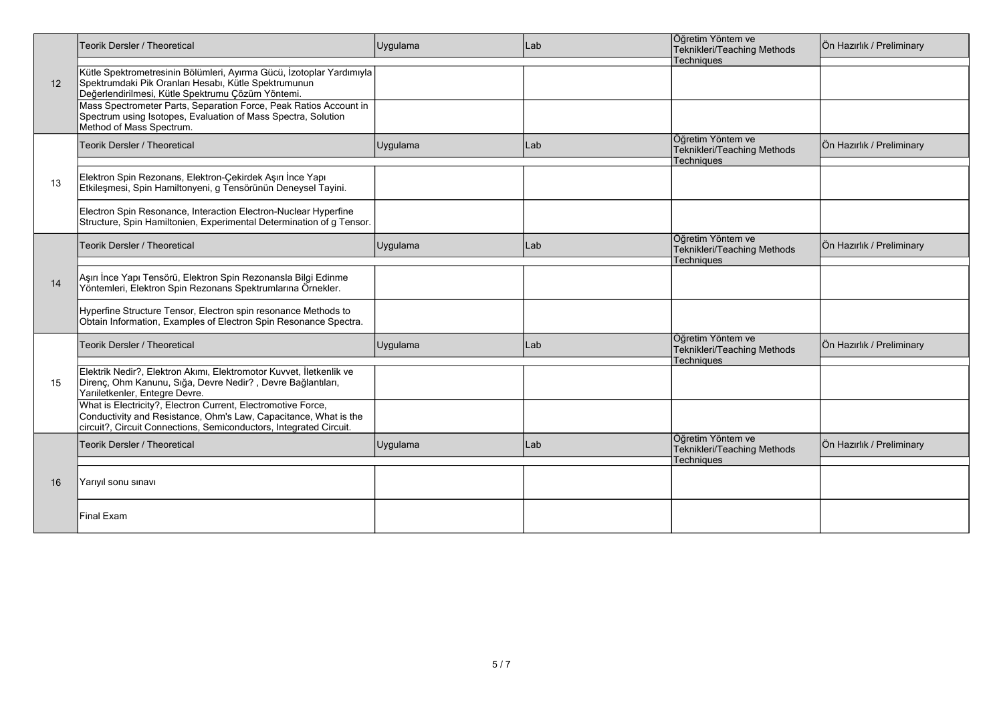|                   | <b>Teorik Dersler / Theoretical</b>                                                                                                                                                                    | Uygulama | Lab  | Öğretim Yöntem ve<br>Teknikleri/Teaching Methods                      | Ön Hazırlık / Preliminary |
|-------------------|--------------------------------------------------------------------------------------------------------------------------------------------------------------------------------------------------------|----------|------|-----------------------------------------------------------------------|---------------------------|
| $12 \overline{ }$ | Kütle Spektrometresinin Bölümleri, Ayırma Gücü, İzotoplar Yardımıyla<br>Spektrumdaki Pik Oranları Hesabı, Kütle Spektrumunun<br>Değerlendirilmesi, Kütle Spektrumu Çözüm Yöntemi.                      |          |      | Techniques                                                            |                           |
|                   | Mass Spectrometer Parts, Separation Force, Peak Ratios Account in<br>Spectrum using Isotopes, Evaluation of Mass Spectra, Solution<br>Method of Mass Spectrum.                                         |          |      |                                                                       |                           |
|                   | <b>Teorik Dersler / Theoretical</b>                                                                                                                                                                    | Uygulama | Lab  | Öğretim Yöntem ve<br>Teknikleri/Teaching Methods<br><b>Techniques</b> | Ön Hazırlık / Preliminary |
| 13                | Elektron Spin Rezonans, Elektron-Çekirdek Aşırı İnce Yapı<br>Etkileşmesi, Spin Hamiltonyeni, g Tensörünün Deneysel Tayini.                                                                             |          |      |                                                                       |                           |
|                   | Electron Spin Resonance, Interaction Electron-Nuclear Hyperfine<br>Structure, Spin Hamiltonien, Experimental Determination of g Tensor.                                                                |          |      |                                                                       |                           |
| 14                | Teorik Dersler / Theoretical                                                                                                                                                                           | Uygulama | Lab  | Öğretim Yöntem ve<br>Teknikleri/Teaching Methods<br>Techniques        | Ön Hazırlık / Preliminary |
|                   | Aşırı İnce Yapı Tensörü, Elektron Spin Rezonansla Bilgi Edinme<br>Yöntemleri, Elektron Spin Rezonans Spektrumlarına Örnekler.                                                                          |          |      |                                                                       |                           |
|                   | Hyperfine Structure Tensor, Electron spin resonance Methods to<br>Obtain Information, Examples of Electron Spin Resonance Spectra.                                                                     |          |      |                                                                       |                           |
|                   | Teorik Dersler / Theoretical                                                                                                                                                                           | Uygulama | lLab | Öğretim Yöntem ve<br>Teknikleri/Teaching Methods<br><b>Techniques</b> | Ön Hazırlık / Preliminary |
| 15                | Elektrik Nedir?, Elektron Akımı, Elektromotor Kuvvet, İletkenlik ve<br>Direnç, Ohm Kanunu, Sığa, Devre Nedir?, Devre Bağlantıları,<br>Yarıiletkenler, Entegre Devre.                                   |          |      |                                                                       |                           |
|                   | What is Electricity?, Electron Current, Electromotive Force,<br>Conductivity and Resistance, Ohm's Law, Capacitance, What is the<br>circuit?, Circuit Connections, Semiconductors, Integrated Circuit. |          |      |                                                                       |                           |
|                   | <b>Teorik Dersler / Theoretical</b>                                                                                                                                                                    | Uygulama | Lab  | Öğretim Yöntem ve<br>Teknikleri/Teaching Methods<br><b>Techniques</b> | Ön Hazırlık / Preliminary |
| 16                | Yarıyıl sonu sınavı                                                                                                                                                                                    |          |      |                                                                       |                           |
|                   | <b>Final Exam</b>                                                                                                                                                                                      |          |      |                                                                       |                           |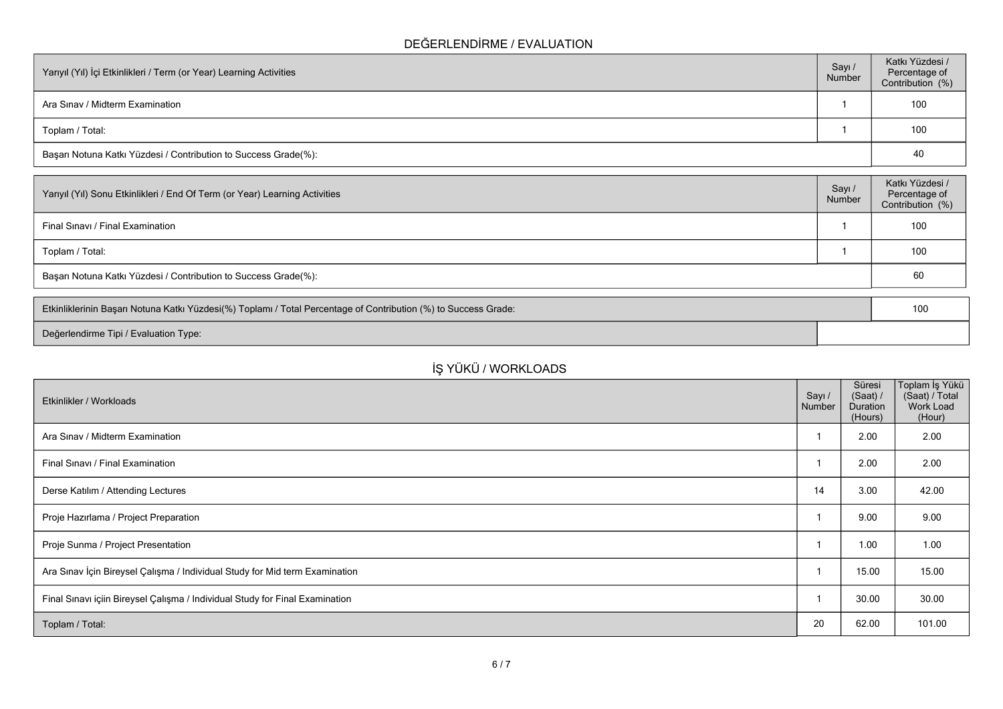## **DEĞERLENDİRME / EVALUATION**

| Yarıyıl (Yıl) İçi Etkinlikleri / Term (or Year) Learning Activities |  | Katkı Yüzdesi /<br>Percentage of<br>Contribution (%) |
|---------------------------------------------------------------------|--|------------------------------------------------------|
| Ara Sinav / Midterm Examination                                     |  | 100                                                  |
| Toplam / Total:                                                     |  | 100                                                  |
| Başarı Notuna Katkı Yüzdesi / Contribution to Success Grade(%):     |  | 40                                                   |

| Sayı /<br>Number                                                | Katkı Yüzdesi /<br>Percentage of<br>Contribution (%) |  |  |  |
|-----------------------------------------------------------------|------------------------------------------------------|--|--|--|
|                                                                 | 100                                                  |  |  |  |
|                                                                 | 100                                                  |  |  |  |
| Başarı Notuna Katkı Yüzdesi / Contribution to Success Grade(%): |                                                      |  |  |  |
|                                                                 |                                                      |  |  |  |

| Etkinliklerinin Başarı Notuna Katkı Yüzdesi(%) Toplamı / Total Percentage of Contribution (%) to Success Grade: |  |  |
|-----------------------------------------------------------------------------------------------------------------|--|--|
| Değerlendirme Tipi / Evaluation Type:                                                                           |  |  |

# **İŞ YÜKÜ / WORKLOADS**

| Etkinlikler / Workloads                                                      | Sayı /<br>Number | Süresi<br>(Saat) /<br>Duration<br>(Hours) | ∣Toplam İş Yükü<br>(Saat) / Total<br>Work Load<br>(Hour) |
|------------------------------------------------------------------------------|------------------|-------------------------------------------|----------------------------------------------------------|
| Ara Sinav / Midterm Examination                                              |                  | 2.00                                      | 2.00                                                     |
| Final Sinavi / Final Examination                                             |                  | 2.00                                      | 2.00                                                     |
| Derse Katılım / Attending Lectures                                           | 14               | 3.00                                      | 42.00                                                    |
| Proje Hazırlama / Project Preparation                                        |                  | 9.00                                      | 9.00                                                     |
| Proje Sunma / Project Presentation                                           |                  | 1.00                                      | 1.00                                                     |
| Ara Sınav İçin Bireysel Çalışma / Individual Study for Mid term Examination  |                  | 15.00                                     | 15.00                                                    |
| Final Sınavı içiin Bireysel Çalışma / Individual Study for Final Examination |                  | 30.00                                     | 30.00                                                    |
| Toplam / Total:                                                              | 20               | 62.00                                     | 101.00                                                   |